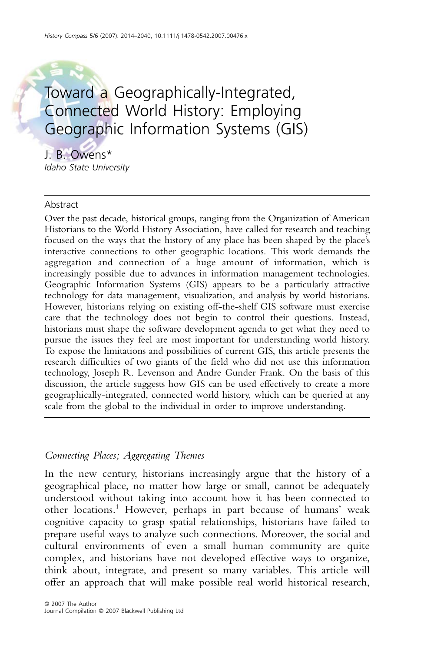# Toward a Geographically-Integrated, Connected World History: Employing Geographic Information Systems (GIS)

J. B. Owens\* *Idaho State University*

#### Abstract

Over the past decade, historical groups, ranging from the Organization of American Historians to the World History Association, have called for research and teaching focused on the ways that the history of any place has been shaped by the place's interactive connections to other geographic locations. This work demands the aggregation and connection of a huge amount of information, which is increasingly possible due to advances in information management technologies. Geographic Information Systems (GIS) appears to be a particularly attractive technology for data management, visualization, and analysis by world historians. However, historians relying on existing off-the-shelf GIS software must exercise care that the technology does not begin to control their questions. Instead, historians must shape the software development agenda to get what they need to pursue the issues they feel are most important for understanding world history. To expose the limitations and possibilities of current GIS, this article presents the research difficulties of two giants of the field who did not use this information technology, Joseph R. Levenson and Andre Gunder Frank. On the basis of this discussion, the article suggests how GIS can be used effectively to create a more geographically-integrated, connected world history, which can be queried at any scale from the global to the individual in order to improve understanding.

## *Connecting Places; Aggregating Themes*

In the new century, historians increasingly argue that the history of a geographical place, no matter how large or small, cannot be adequately understood without taking into account how it has been connected to other locations.<sup>1</sup> However, perhaps in part because of humans' weak cognitive capacity to grasp spatial relationships, historians have failed to prepare useful ways to analyze such connections. Moreover, the social and cultural environments of even a small human community are quite complex, and historians have not developed effective ways to organize, think about, integrate, and present so many variables. This article will offer an approach that will make possible real world historical research,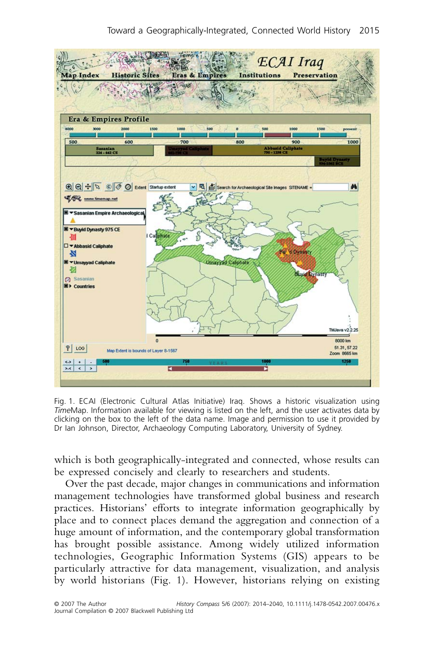

Fig. 1. ECAI (Electronic Cultural Atlas Initiative) Iraq. Shows a historic visualization using *Time*Map. Information available for viewing is listed on the left, and the user activates data by clicking on the box to the left of the data name. Image and permission to use it provided by Dr Ian Johnson, Director, Archaeology Computing Laboratory, University of Sydney.

which is both geographically-integrated and connected, whose results can be expressed concisely and clearly to researchers and students.

Over the past decade, major changes in communications and information management technologies have transformed global business and research practices. Historians' efforts to integrate information geographically by place and to connect places demand the aggregation and connection of a huge amount of information, and the contemporary global transformation has brought possible assistance. Among widely utilized information technologies, Geographic Information Systems (GIS) appears to be particularly attractive for data management, visualization, and analysis by world historians (Fig. 1). However, historians relying on existing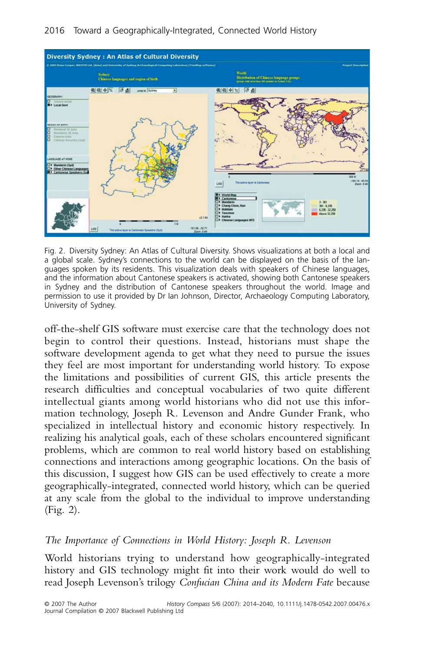

Fig. 2. Diversity Sydney: An Atlas of Cultural Diversity. Shows visualizations at both a local and a global scale. Sydney's connections to the world can be displayed on the basis of the languages spoken by its residents. This visualization deals with speakers of Chinese languages, and the information about Cantonese speakers is activated, showing both Cantonese speakers in Sydney and the distribution of Cantonese speakers throughout the world. Image and permission to use it provided by Dr Ian Johnson, Director, Archaeology Computing Laboratory, University of Sydney.

off-the-shelf GIS software must exercise care that the technology does not begin to control their questions. Instead, historians must shape the software development agenda to get what they need to pursue the issues they feel are most important for understanding world history. To expose the limitations and possibilities of current GIS, this article presents the research difficulties and conceptual vocabularies of two quite different intellectual giants among world historians who did not use this information technology, Joseph R. Levenson and Andre Gunder Frank, who specialized in intellectual history and economic history respectively. In realizing his analytical goals, each of these scholars encountered significant problems, which are common to real world history based on establishing connections and interactions among geographic locations. On the basis of this discussion, I suggest how GIS can be used effectively to create a more geographically-integrated, connected world history, which can be queried at any scale from the global to the individual to improve understanding (Fig. 2).

## *The Importance of Connections in World History: Joseph R. Levenson*

World historians trying to understand how geographically-integrated history and GIS technology might fit into their work would do well to read Joseph Levenson's trilogy *Confucian China and its Modern Fate* because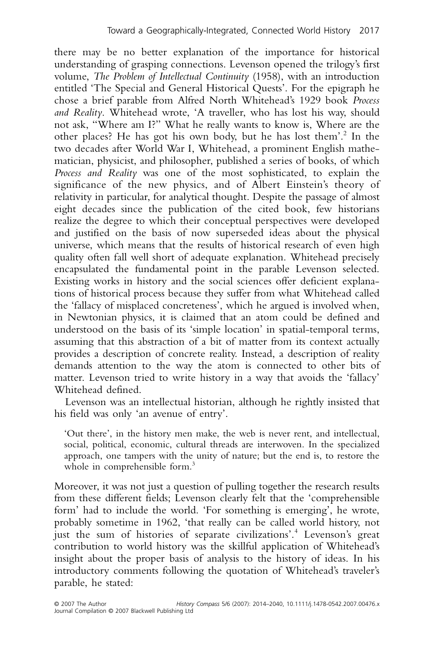there may be no better explanation of the importance for historical understanding of grasping connections. Levenson opened the trilogy's first volume, *The Problem of Intellectual Continuity* (1958), with an introduction entitled 'The Special and General Historical Quests'. For the epigraph he chose a brief parable from Alfred North Whitehead's 1929 book *Process and Reality*. Whitehead wrote, 'A traveller, who has lost his way, should not ask, "Where am I?" What he really wants to know is, Where are the other places? He has got his own body, but he has lost them'.<sup>2</sup> In the two decades after World War I, Whitehead, a prominent English mathematician, physicist, and philosopher, published a series of books, of which *Process and Reality* was one of the most sophisticated, to explain the significance of the new physics, and of Albert Einstein's theory of relativity in particular, for analytical thought. Despite the passage of almost eight decades since the publication of the cited book, few historians realize the degree to which their conceptual perspectives were developed and justified on the basis of now superseded ideas about the physical universe, which means that the results of historical research of even high quality often fall well short of adequate explanation. Whitehead precisely encapsulated the fundamental point in the parable Levenson selected. Existing works in history and the social sciences offer deficient explanations of historical process because they suffer from what Whitehead called the 'fallacy of misplaced concreteness', which he argued is involved when, in Newtonian physics, it is claimed that an atom could be defined and understood on the basis of its 'simple location' in spatial-temporal terms, assuming that this abstraction of a bit of matter from its context actually provides a description of concrete reality. Instead, a description of reality demands attention to the way the atom is connected to other bits of matter. Levenson tried to write history in a way that avoids the 'fallacy' Whitehead defined.

Levenson was an intellectual historian, although he rightly insisted that his field was only 'an avenue of entry'.

'Out there', in the history men make, the web is never rent, and intellectual, social, political, economic, cultural threads are interwoven. In the specialized approach, one tampers with the unity of nature; but the end is, to restore the whole in comprehensible form.<sup>3</sup>

Moreover, it was not just a question of pulling together the research results from these different fields; Levenson clearly felt that the 'comprehensible form' had to include the world. 'For something is emerging', he wrote, probably sometime in 1962, 'that really can be called world history, not just the sum of histories of separate civilizations'.<sup>4</sup> Levenson's great contribution to world history was the skillful application of Whitehead's insight about the proper basis of analysis to the history of ideas. In his introductory comments following the quotation of Whitehead's traveler's parable, he stated: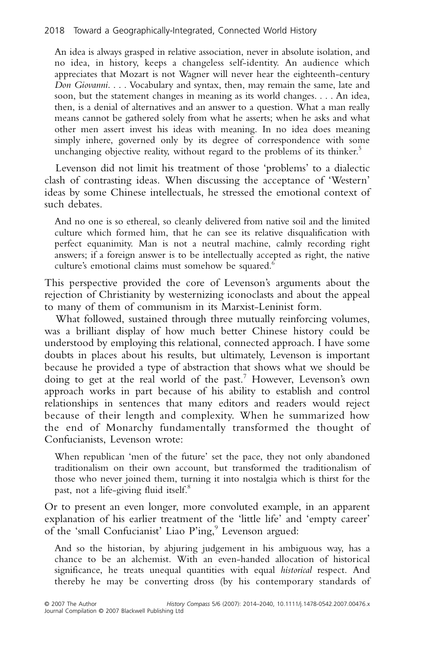An idea is always grasped in relative association, never in absolute isolation, and no idea, in history, keeps a changeless self-identity. An audience which appreciates that Mozart is not Wagner will never hear the eighteenth-century *Don Giovanni*. . . . Vocabulary and syntax, then, may remain the same, late and soon, but the statement changes in meaning as its world changes. . . . An idea, then, is a denial of alternatives and an answer to a question. What a man really means cannot be gathered solely from what he asserts; when he asks and what other men assert invest his ideas with meaning. In no idea does meaning simply inhere, governed only by its degree of correspondence with some unchanging objective reality, without regard to the problems of its thinker.<sup>5</sup>

Levenson did not limit his treatment of those 'problems' to a dialectic clash of contrasting ideas. When discussing the acceptance of 'Western' ideas by some Chinese intellectuals, he stressed the emotional context of such debates.

And no one is so ethereal, so cleanly delivered from native soil and the limited culture which formed him, that he can see its relative disqualification with perfect equanimity. Man is not a neutral machine, calmly recording right answers; if a foreign answer is to be intellectually accepted as right, the native culture's emotional claims must somehow be squared.<sup>6</sup>

This perspective provided the core of Levenson's arguments about the rejection of Christianity by westernizing iconoclasts and about the appeal to many of them of communism in its Marxist-Leninist form.

What followed, sustained through three mutually reinforcing volumes, was a brilliant display of how much better Chinese history could be understood by employing this relational, connected approach. I have some doubts in places about his results, but ultimately, Levenson is important because he provided a type of abstraction that shows what we should be doing to get at the real world of the past.<sup>7</sup> However, Levenson's own approach works in part because of his ability to establish and control relationships in sentences that many editors and readers would reject because of their length and complexity. When he summarized how the end of Monarchy fundamentally transformed the thought of Confucianists, Levenson wrote:

When republican 'men of the future' set the pace, they not only abandoned traditionalism on their own account, but transformed the traditionalism of those who never joined them, turning it into nostalgia which is thirst for the past, not a life-giving fluid itself.<sup>8</sup>

Or to present an even longer, more convoluted example, in an apparent explanation of his earlier treatment of the 'little life' and 'empty career' of the 'small Confucianist' Liao P'ing,<sup>9</sup> Levenson argued:

And so the historian, by abjuring judgement in his ambiguous way, has a chance to be an alchemist. With an even-handed allocation of historical significance, he treats unequal quantities with equal *historical* respect. And thereby he may be converting dross (by his contemporary standards of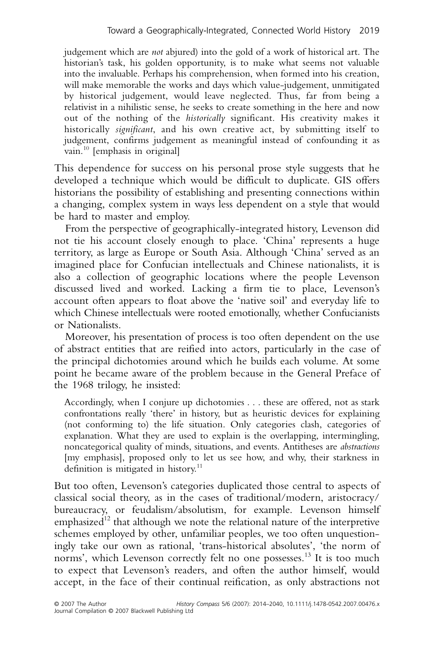judgement which are *not* abjured) into the gold of a work of historical art. The historian's task, his golden opportunity, is to make what seems not valuable into the invaluable. Perhaps his comprehension, when formed into his creation, will make memorable the works and days which value-judgement, unmitigated by historical judgement, would leave neglected. Thus, far from being a relativist in a nihilistic sense, he seeks to create something in the here and now out of the nothing of the *historically* significant. His creativity makes it historically *significant*, and his own creative act, by submitting itself to judgement, confirms judgement as meaningful instead of confounding it as vain.10 [emphasis in original]

This dependence for success on his personal prose style suggests that he developed a technique which would be difficult to duplicate. GIS offers historians the possibility of establishing and presenting connections within a changing, complex system in ways less dependent on a style that would be hard to master and employ.

From the perspective of geographically-integrated history, Levenson did not tie his account closely enough to place. 'China' represents a huge territory, as large as Europe or South Asia. Although 'China' served as an imagined place for Confucian intellectuals and Chinese nationalists, it is also a collection of geographic locations where the people Levenson discussed lived and worked. Lacking a firm tie to place, Levenson's account often appears to float above the 'native soil' and everyday life to which Chinese intellectuals were rooted emotionally, whether Confucianists or Nationalists.

Moreover, his presentation of process is too often dependent on the use of abstract entities that are reified into actors, particularly in the case of the principal dichotomies around which he builds each volume. At some point he became aware of the problem because in the General Preface of the 1968 trilogy, he insisted:

Accordingly, when I conjure up dichotomies . . . these are offered, not as stark confrontations really 'there' in history, but as heuristic devices for explaining (not conforming to) the life situation. Only categories clash, categories of explanation. What they are used to explain is the overlapping, intermingling, noncategorical quality of minds, situations, and events. Antitheses are *abstractions* [my emphasis], proposed only to let us see how, and why, their starkness in definition is mitigated in history.<sup>11</sup>

But too often, Levenson's categories duplicated those central to aspects of classical social theory, as in the cases of traditional/modern, aristocracy/ bureaucracy, or feudalism/absolutism, for example. Levenson himself emphasized<sup>12</sup> that although we note the relational nature of the interpretive schemes employed by other, unfamiliar peoples, we too often unquestioningly take our own as rational, 'trans-historical absolutes', 'the norm of norms', which Levenson correctly felt no one possesses.<sup>13</sup> It is too much to expect that Levenson's readers, and often the author himself, would accept, in the face of their continual reification, as only abstractions not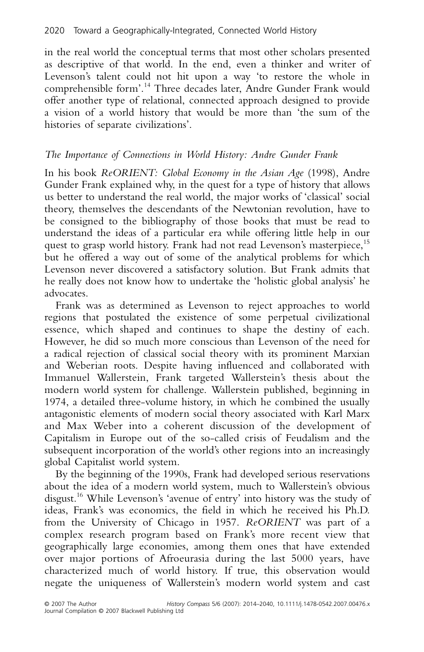in the real world the conceptual terms that most other scholars presented as descriptive of that world. In the end, even a thinker and writer of Levenson's talent could not hit upon a way 'to restore the whole in comprehensible form'.14 Three decades later, Andre Gunder Frank would offer another type of relational, connected approach designed to provide a vision of a world history that would be more than 'the sum of the histories of separate civilizations'.

# *The Importance of Connections in World History: Andre Gunder Frank*

In his book *ReORIENT: Global Economy in the Asian Age* (1998), Andre Gunder Frank explained why, in the quest for a type of history that allows us better to understand the real world, the major works of 'classical' social theory, themselves the descendants of the Newtonian revolution, have to be consigned to the bibliography of those books that must be read to understand the ideas of a particular era while offering little help in our quest to grasp world history. Frank had not read Levenson's masterpiece,<sup>15</sup> but he offered a way out of some of the analytical problems for which Levenson never discovered a satisfactory solution. But Frank admits that he really does not know how to undertake the 'holistic global analysis' he advocates.

Frank was as determined as Levenson to reject approaches to world regions that postulated the existence of some perpetual civilizational essence, which shaped and continues to shape the destiny of each. However, he did so much more conscious than Levenson of the need for a radical rejection of classical social theory with its prominent Marxian and Weberian roots. Despite having influenced and collaborated with Immanuel Wallerstein, Frank targeted Wallerstein's thesis about the modern world system for challenge. Wallerstein published, beginning in 1974, a detailed three-volume history, in which he combined the usually antagonistic elements of modern social theory associated with Karl Marx and Max Weber into a coherent discussion of the development of Capitalism in Europe out of the so-called crisis of Feudalism and the subsequent incorporation of the world's other regions into an increasingly global Capitalist world system.

By the beginning of the 1990s, Frank had developed serious reservations about the idea of a modern world system, much to Wallerstein's obvious disgust.16 While Levenson's 'avenue of entry' into history was the study of ideas, Frank's was economics, the field in which he received his Ph.D. from the University of Chicago in 1957. *ReORIENT* was part of a complex research program based on Frank's more recent view that geographically large economies, among them ones that have extended over major portions of Afroeurasia during the last 5000 years, have characterized much of world history. If true, this observation would negate the uniqueness of Wallerstein's modern world system and cast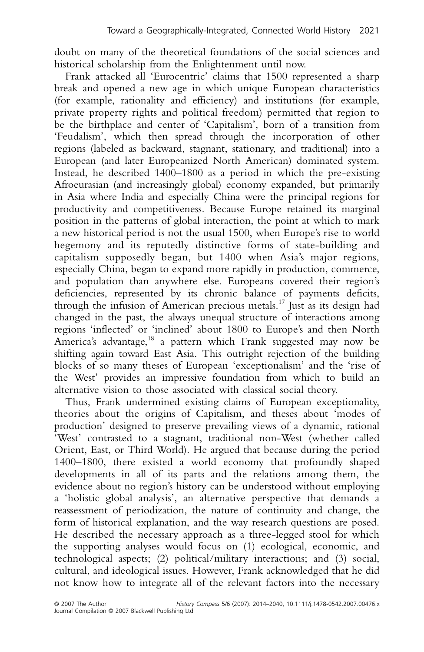doubt on many of the theoretical foundations of the social sciences and historical scholarship from the Enlightenment until now.

Frank attacked all 'Eurocentric' claims that 1500 represented a sharp break and opened a new age in which unique European characteristics (for example, rationality and efficiency) and institutions (for example, private property rights and political freedom) permitted that region to be the birthplace and center of 'Capitalism', born of a transition from 'Feudalism', which then spread through the incorporation of other regions (labeled as backward, stagnant, stationary, and traditional) into a European (and later Europeanized North American) dominated system. Instead, he described 1400–1800 as a period in which the pre-existing Afroeurasian (and increasingly global) economy expanded, but primarily in Asia where India and especially China were the principal regions for productivity and competitiveness. Because Europe retained its marginal position in the patterns of global interaction, the point at which to mark a new historical period is not the usual 1500, when Europe's rise to world hegemony and its reputedly distinctive forms of state-building and capitalism supposedly began, but 1400 when Asia's major regions, especially China, began to expand more rapidly in production, commerce, and population than anywhere else. Europeans covered their region's deficiencies, represented by its chronic balance of payments deficits, through the infusion of American precious metals.<sup>17</sup> Just as its design had changed in the past, the always unequal structure of interactions among regions 'inflected' or 'inclined' about 1800 to Europe's and then North America's advantage,<sup>18</sup> a pattern which Frank suggested may now be shifting again toward East Asia. This outright rejection of the building blocks of so many theses of European 'exceptionalism' and the 'rise of the West' provides an impressive foundation from which to build an alternative vision to those associated with classical social theory.

Thus, Frank undermined existing claims of European exceptionality, theories about the origins of Capitalism, and theses about 'modes of production' designed to preserve prevailing views of a dynamic, rational 'West' contrasted to a stagnant, traditional non-West (whether called Orient, East, or Third World). He argued that because during the period 1400–1800, there existed a world economy that profoundly shaped developments in all of its parts and the relations among them, the evidence about no region's history can be understood without employing a 'holistic global analysis', an alternative perspective that demands a reassessment of periodization, the nature of continuity and change, the form of historical explanation, and the way research questions are posed. He described the necessary approach as a three-legged stool for which the supporting analyses would focus on (1) ecological, economic, and technological aspects; (2) political/military interactions; and (3) social, cultural, and ideological issues. However, Frank acknowledged that he did not know how to integrate all of the relevant factors into the necessary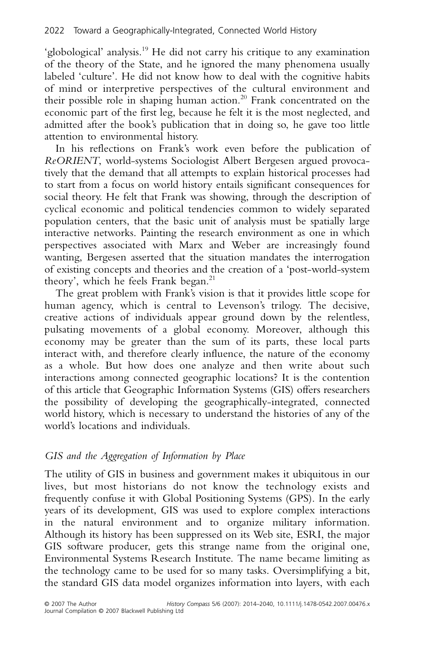'globological' analysis.19 He did not carry his critique to any examination of the theory of the State, and he ignored the many phenomena usually labeled 'culture'. He did not know how to deal with the cognitive habits of mind or interpretive perspectives of the cultural environment and their possible role in shaping human action.<sup>20</sup> Frank concentrated on the economic part of the first leg, because he felt it is the most neglected, and admitted after the book's publication that in doing so, he gave too little attention to environmental history.

In his reflections on Frank's work even before the publication of *ReORIENT*, world-systems Sociologist Albert Bergesen argued provocatively that the demand that all attempts to explain historical processes had to start from a focus on world history entails significant consequences for social theory. He felt that Frank was showing, through the description of cyclical economic and political tendencies common to widely separated population centers, that the basic unit of analysis must be spatially large interactive networks. Painting the research environment as one in which perspectives associated with Marx and Weber are increasingly found wanting, Bergesen asserted that the situation mandates the interrogation of existing concepts and theories and the creation of a 'post-world-system theory', which he feels Frank began. $21$ 

The great problem with Frank's vision is that it provides little scope for human agency, which is central to Levenson's trilogy. The decisive, creative actions of individuals appear ground down by the relentless, pulsating movements of a global economy. Moreover, although this economy may be greater than the sum of its parts, these local parts interact with, and therefore clearly influence, the nature of the economy as a whole. But how does one analyze and then write about such interactions among connected geographic locations? It is the contention of this article that Geographic Information Systems (GIS) offers researchers the possibility of developing the geographically-integrated, connected world history, which is necessary to understand the histories of any of the world's locations and individuals.

# *GIS and the Aggregation of Information by Place*

The utility of GIS in business and government makes it ubiquitous in our lives, but most historians do not know the technology exists and frequently confuse it with Global Positioning Systems (GPS). In the early years of its development, GIS was used to explore complex interactions in the natural environment and to organize military information. Although its history has been suppressed on its Web site, ESRI, the major GIS software producer, gets this strange name from the original one, Environmental Systems Research Institute. The name became limiting as the technology came to be used for so many tasks. Oversimplifying a bit, the standard GIS data model organizes information into layers, with each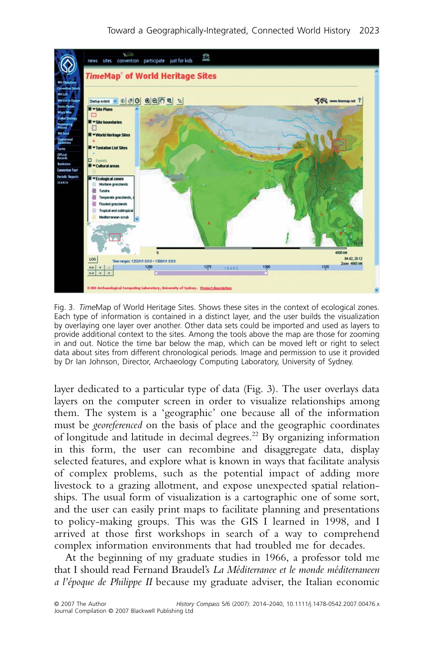

Fig. 3. *Time*Map of World Heritage Sites. Shows these sites in the context of ecological zones. Each type of information is contained in a distinct layer, and the user builds the visualization by overlaying one layer over another. Other data sets could be imported and used as layers to provide additional context to the sites. Among the tools above the map are those for zooming in and out. Notice the time bar below the map, which can be moved left or right to select data about sites from different chronological periods. Image and permission to use it provided by Dr Ian Johnson, Director, Archaeology Computing Laboratory, University of Sydney.

layer dedicated to a particular type of data (Fig. 3). The user overlays data layers on the computer screen in order to visualize relationships among them. The system is a 'geographic' one because all of the information must be *georeferenced* on the basis of place and the geographic coordinates of longitude and latitude in decimal degrees.22 By organizing information in this form, the user can recombine and disaggregate data, display selected features, and explore what is known in ways that facilitate analysis of complex problems, such as the potential impact of adding more livestock to a grazing allotment, and expose unexpected spatial relationships. The usual form of visualization is a cartographic one of some sort, and the user can easily print maps to facilitate planning and presentations to policy-making groups. This was the GIS I learned in 1998, and I arrived at those first workshops in search of a way to comprehend complex information environments that had troubled me for decades.

At the beginning of my graduate studies in 1966, a professor told me that I should read Fernand Braudel's *La Méditerranee et le monde méditerraneen a l'époque de Philippe II* because my graduate adviser, the Italian economic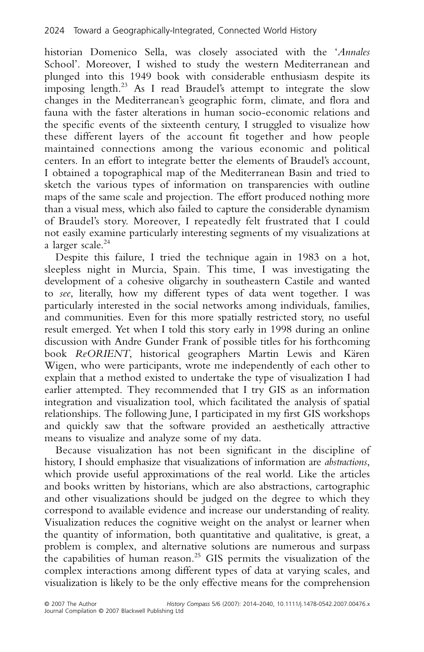historian Domenico Sella, was closely associated with the '*Annales* School'. Moreover, I wished to study the western Mediterranean and plunged into this 1949 book with considerable enthusiasm despite its imposing length.<sup>23</sup> As I read Braudel's attempt to integrate the slow changes in the Mediterranean's geographic form, climate, and flora and fauna with the faster alterations in human socio-economic relations and the specific events of the sixteenth century, I struggled to visualize how these different layers of the account fit together and how people maintained connections among the various economic and political centers. In an effort to integrate better the elements of Braudel's account, I obtained a topographical map of the Mediterranean Basin and tried to sketch the various types of information on transparencies with outline maps of the same scale and projection. The effort produced nothing more than a visual mess, which also failed to capture the considerable dynamism of Braudel's story. Moreover, I repeatedly felt frustrated that I could not easily examine particularly interesting segments of my visualizations at a larger scale.<sup>24</sup>

Despite this failure, I tried the technique again in 1983 on a hot, sleepless night in Murcia, Spain. This time, I was investigating the development of a cohesive oligarchy in southeastern Castile and wanted to *see*, literally, how my different types of data went together. I was particularly interested in the social networks among individuals, families, and communities. Even for this more spatially restricted story, no useful result emerged. Yet when I told this story early in 1998 during an online discussion with Andre Gunder Frank of possible titles for his forthcoming book *ReORIENT*, historical geographers Martin Lewis and Kären Wigen, who were participants, wrote me independently of each other to explain that a method existed to undertake the type of visualization I had earlier attempted. They recommended that I try GIS as an information integration and visualization tool, which facilitated the analysis of spatial relationships. The following June, I participated in my first GIS workshops and quickly saw that the software provided an aesthetically attractive means to visualize and analyze some of my data.

Because visualization has not been significant in the discipline of history, I should emphasize that visualizations of information are *abstractions*, which provide useful approximations of the real world. Like the articles and books written by historians, which are also abstractions, cartographic and other visualizations should be judged on the degree to which they correspond to available evidence and increase our understanding of reality. Visualization reduces the cognitive weight on the analyst or learner when the quantity of information, both quantitative and qualitative, is great, a problem is complex, and alternative solutions are numerous and surpass the capabilities of human reason.25 GIS permits the visualization of the complex interactions among different types of data at varying scales, and visualization is likely to be the only effective means for the comprehension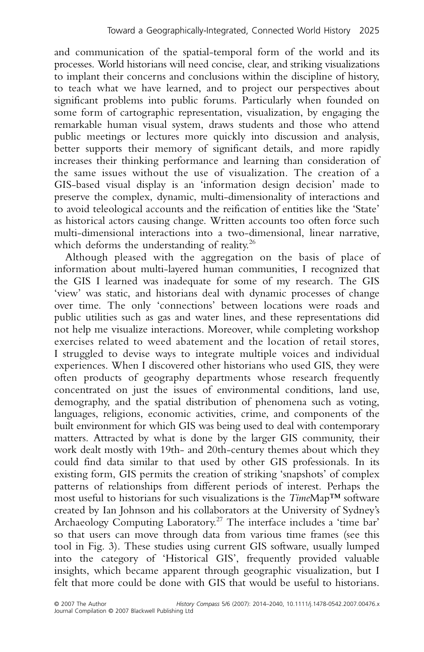and communication of the spatial-temporal form of the world and its processes. World historians will need concise, clear, and striking visualizations to implant their concerns and conclusions within the discipline of history, to teach what we have learned, and to project our perspectives about significant problems into public forums. Particularly when founded on some form of cartographic representation, visualization, by engaging the remarkable human visual system, draws students and those who attend public meetings or lectures more quickly into discussion and analysis, better supports their memory of significant details, and more rapidly increases their thinking performance and learning than consideration of the same issues without the use of visualization. The creation of a GIS-based visual display is an 'information design decision' made to preserve the complex, dynamic, multi-dimensionality of interactions and to avoid teleological accounts and the reification of entities like the 'State' as historical actors causing change. Written accounts too often force such multi-dimensional interactions into a two-dimensional, linear narrative, which deforms the understanding of reality.<sup>26</sup>

Although pleased with the aggregation on the basis of place of information about multi-layered human communities, I recognized that the GIS I learned was inadequate for some of my research. The GIS 'view' was static, and historians deal with dynamic processes of change over time. The only 'connections' between locations were roads and public utilities such as gas and water lines, and these representations did not help me visualize interactions. Moreover, while completing workshop exercises related to weed abatement and the location of retail stores, I struggled to devise ways to integrate multiple voices and individual experiences. When I discovered other historians who used GIS, they were often products of geography departments whose research frequently concentrated on just the issues of environmental conditions, land use, demography, and the spatial distribution of phenomena such as voting, languages, religions, economic activities, crime, and components of the built environment for which GIS was being used to deal with contemporary matters. Attracted by what is done by the larger GIS community, their work dealt mostly with 19th- and 20th-century themes about which they could find data similar to that used by other GIS professionals. In its existing form, GIS permits the creation of striking 'snapshots' of complex patterns of relationships from different periods of interest. Perhaps the most useful to historians for such visualizations is the *Time*Map™ software created by Ian Johnson and his collaborators at the University of Sydney's Archaeology Computing Laboratory.<sup>27</sup> The interface includes a 'time bar' so that users can move through data from various time frames (see this tool in Fig. 3). These studies using current GIS software, usually lumped into the category of 'Historical GIS', frequently provided valuable insights, which became apparent through geographic visualization, but I felt that more could be done with GIS that would be useful to historians.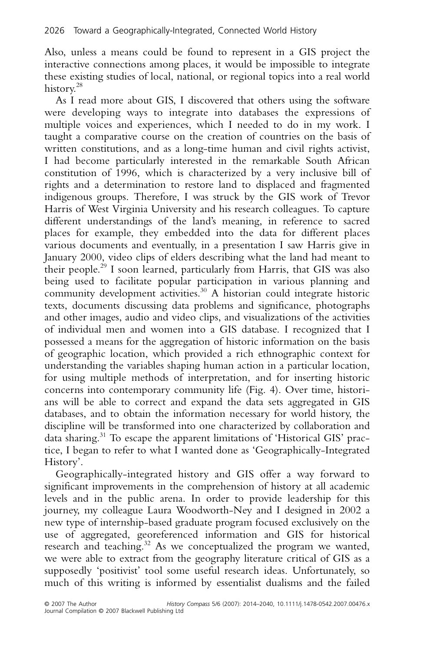Also, unless a means could be found to represent in a GIS project the interactive connections among places, it would be impossible to integrate these existing studies of local, national, or regional topics into a real world history.<sup>28</sup>

As I read more about GIS, I discovered that others using the software were developing ways to integrate into databases the expressions of multiple voices and experiences, which I needed to do in my work. I taught a comparative course on the creation of countries on the basis of written constitutions, and as a long-time human and civil rights activist, I had become particularly interested in the remarkable South African constitution of 1996, which is characterized by a very inclusive bill of rights and a determination to restore land to displaced and fragmented indigenous groups. Therefore, I was struck by the GIS work of Trevor Harris of West Virginia University and his research colleagues. To capture different understandings of the land's meaning, in reference to sacred places for example, they embedded into the data for different places various documents and eventually, in a presentation I saw Harris give in January 2000, video clips of elders describing what the land had meant to their people.29 I soon learned, particularly from Harris, that GIS was also being used to facilitate popular participation in various planning and community development activities.<sup>30</sup> A historian could integrate historic texts, documents discussing data problems and significance, photographs and other images, audio and video clips, and visualizations of the activities of individual men and women into a GIS database. I recognized that I possessed a means for the aggregation of historic information on the basis of geographic location, which provided a rich ethnographic context for understanding the variables shaping human action in a particular location, for using multiple methods of interpretation, and for inserting historic concerns into contemporary community life (Fig. 4). Over time, historians will be able to correct and expand the data sets aggregated in GIS databases, and to obtain the information necessary for world history, the discipline will be transformed into one characterized by collaboration and data sharing.31 To escape the apparent limitations of 'Historical GIS' practice, I began to refer to what I wanted done as 'Geographically-Integrated History'.

Geographically-integrated history and GIS offer a way forward to significant improvements in the comprehension of history at all academic levels and in the public arena. In order to provide leadership for this journey, my colleague Laura Woodworth-Ney and I designed in 2002 a new type of internship-based graduate program focused exclusively on the use of aggregated, georeferenced information and GIS for historical research and teaching. $32$  As we conceptualized the program we wanted, we were able to extract from the geography literature critical of GIS as a supposedly 'positivist' tool some useful research ideas. Unfortunately, so much of this writing is informed by essentialist dualisms and the failed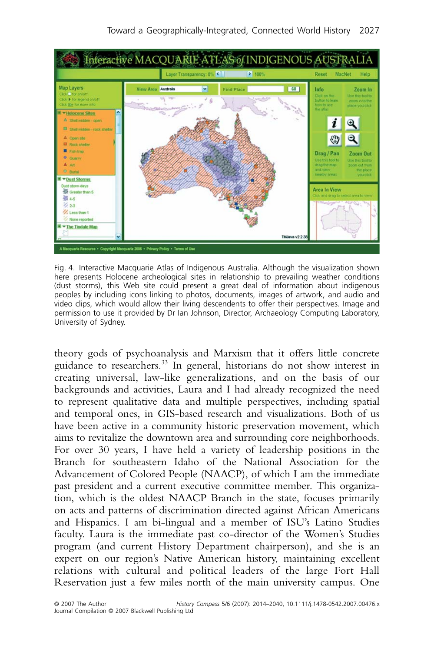

Fig. 4. Interactive Macquarie Atlas of Indigenous Australia. Although the visualization shown here presents Holocene archeological sites in relationship to prevailing weather conditions (dust storms), this Web site could present a great deal of information about indigenous peoples by including icons linking to photos, documents, images of artwork, and audio and video clips, which would allow their living descendents to offer their perspectives. Image and permission to use it provided by Dr Ian Johnson, Director, Archaeology Computing Laboratory, University of Sydney.

theory gods of psychoanalysis and Marxism that it offers little concrete guidance to researchers.33 In general, historians do not show interest in creating universal, law-like generalizations, and on the basis of our backgrounds and activities, Laura and I had already recognized the need to represent qualitative data and multiple perspectives, including spatial and temporal ones, in GIS-based research and visualizations. Both of us have been active in a community historic preservation movement, which aims to revitalize the downtown area and surrounding core neighborhoods. For over 30 years, I have held a variety of leadership positions in the Branch for southeastern Idaho of the National Association for the Advancement of Colored People (NAACP), of which I am the immediate past president and a current executive committee member. This organization, which is the oldest NAACP Branch in the state, focuses primarily on acts and patterns of discrimination directed against African Americans and Hispanics. I am bi-lingual and a member of ISU's Latino Studies faculty. Laura is the immediate past co-director of the Women's Studies program (and current History Department chairperson), and she is an expert on our region's Native American history, maintaining excellent relations with cultural and political leaders of the large Fort Hall Reservation just a few miles north of the main university campus. One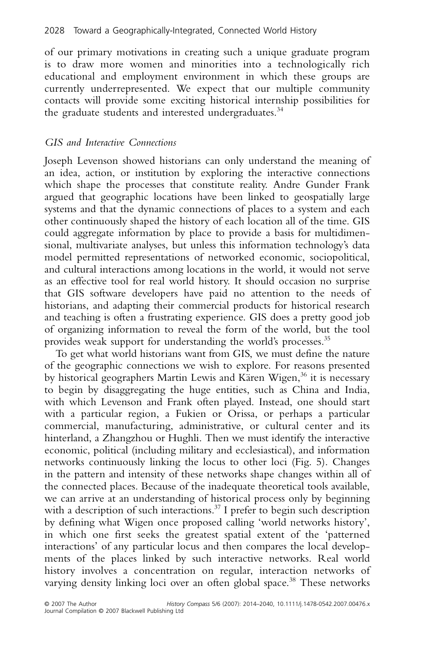of our primary motivations in creating such a unique graduate program is to draw more women and minorities into a technologically rich educational and employment environment in which these groups are currently underrepresented. We expect that our multiple community contacts will provide some exciting historical internship possibilities for the graduate students and interested undergraduates.<sup>34</sup>

## *GIS and Interactive Connections*

Joseph Levenson showed historians can only understand the meaning of an idea, action, or institution by exploring the interactive connections which shape the processes that constitute reality. Andre Gunder Frank argued that geographic locations have been linked to geospatially large systems and that the dynamic connections of places to a system and each other continuously shaped the history of each location all of the time. GIS could aggregate information by place to provide a basis for multidimensional, multivariate analyses, but unless this information technology's data model permitted representations of networked economic, sociopolitical, and cultural interactions among locations in the world, it would not serve as an effective tool for real world history. It should occasion no surprise that GIS software developers have paid no attention to the needs of historians, and adapting their commercial products for historical research and teaching is often a frustrating experience. GIS does a pretty good job of organizing information to reveal the form of the world, but the tool provides weak support for understanding the world's processes.<sup>35</sup>

To get what world historians want from GIS, we must define the nature of the geographic connections we wish to explore. For reasons presented by historical geographers Martin Lewis and Kären Wigen,<sup>36</sup> it is necessary to begin by disaggregating the huge entities, such as China and India, with which Levenson and Frank often played. Instead, one should start with a particular region, a Fukien or Orissa, or perhaps a particular commercial, manufacturing, administrative, or cultural center and its hinterland, a Zhangzhou or Hughli. Then we must identify the interactive economic, political (including military and ecclesiastical), and information networks continuously linking the locus to other loci (Fig. 5). Changes in the pattern and intensity of these networks shape changes within all of the connected places. Because of the inadequate theoretical tools available, we can arrive at an understanding of historical process only by beginning with a description of such interactions.<sup>37</sup> I prefer to begin such description by defining what Wigen once proposed calling 'world networks history', in which one first seeks the greatest spatial extent of the 'patterned interactions' of any particular locus and then compares the local developments of the places linked by such interactive networks. Real world history involves a concentration on regular, interaction networks of varying density linking loci over an often global space.<sup>38</sup> These networks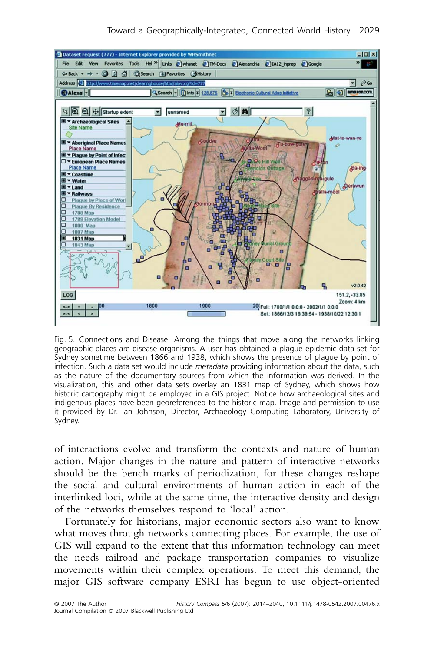

Fig. 5. Connections and Disease. Among the things that move along the networks linking geographic places are disease organisms. A user has obtained a plague epidemic data set for Sydney sometime between 1866 and 1938, which shows the presence of plague by point of infection. Such a data set would include *metadata* providing information about the data, such as the nature of the documentary sources from which the information was derived. In the visualization, this and other data sets overlay an 1831 map of Sydney, which shows how historic cartography might be employed in a GIS project. Notice how archaeological sites and indigenous places have been georeferenced to the historic map. Image and permission to use it provided by Dr. Ian Johnson, Director, Archaeology Computing Laboratory, University of Sydney.

of interactions evolve and transform the contexts and nature of human action. Major changes in the nature and pattern of interactive networks should be the bench marks of periodization, for these changes reshape the social and cultural environments of human action in each of the interlinked loci, while at the same time, the interactive density and design of the networks themselves respond to 'local' action.

Fortunately for historians, major economic sectors also want to know what moves through networks connecting places. For example, the use of GIS will expand to the extent that this information technology can meet the needs railroad and package transportation companies to visualize movements within their complex operations. To meet this demand, the major GIS software company ESRI has begun to use object-oriented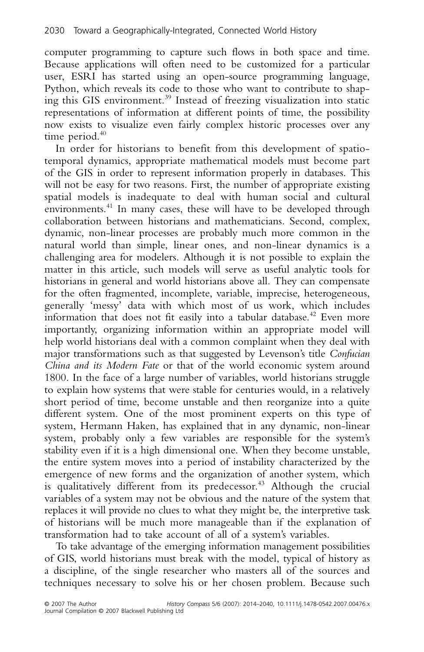computer programming to capture such flows in both space and time. Because applications will often need to be customized for a particular user, ESRI has started using an open-source programming language, Python, which reveals its code to those who want to contribute to shaping this GIS environment.39 Instead of freezing visualization into static representations of information at different points of time, the possibility now exists to visualize even fairly complex historic processes over any time period.<sup>40</sup>

In order for historians to benefit from this development of spatiotemporal dynamics, appropriate mathematical models must become part of the GIS in order to represent information properly in databases. This will not be easy for two reasons. First, the number of appropriate existing spatial models is inadequate to deal with human social and cultural environments.<sup>41</sup> In many cases, these will have to be developed through collaboration between historians and mathematicians. Second, complex, dynamic, non-linear processes are probably much more common in the natural world than simple, linear ones, and non-linear dynamics is a challenging area for modelers. Although it is not possible to explain the matter in this article, such models will serve as useful analytic tools for historians in general and world historians above all. They can compensate for the often fragmented, incomplete, variable, imprecise, heterogeneous, generally 'messy' data with which most of us work, which includes information that does not fit easily into a tabular database.<sup>42</sup> Even more importantly, organizing information within an appropriate model will help world historians deal with a common complaint when they deal with major transformations such as that suggested by Levenson's title *Confucian China and its Modern Fate* or that of the world economic system around 1800. In the face of a large number of variables, world historians struggle to explain how systems that were stable for centuries would, in a relatively short period of time, become unstable and then reorganize into a quite different system. One of the most prominent experts on this type of system, Hermann Haken, has explained that in any dynamic, non-linear system, probably only a few variables are responsible for the system's stability even if it is a high dimensional one. When they become unstable, the entire system moves into a period of instability characterized by the emergence of new forms and the organization of another system, which is qualitatively different from its predecessor.<sup>43</sup> Although the crucial variables of a system may not be obvious and the nature of the system that replaces it will provide no clues to what they might be, the interpretive task of historians will be much more manageable than if the explanation of transformation had to take account of all of a system's variables.

To take advantage of the emerging information management possibilities of GIS, world historians must break with the model, typical of history as a discipline, of the single researcher who masters all of the sources and techniques necessary to solve his or her chosen problem. Because such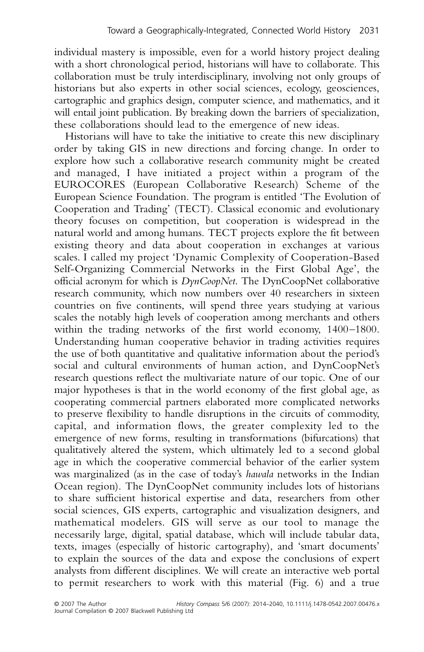individual mastery is impossible, even for a world history project dealing with a short chronological period, historians will have to collaborate. This collaboration must be truly interdisciplinary, involving not only groups of historians but also experts in other social sciences, ecology, geosciences, cartographic and graphics design, computer science, and mathematics, and it will entail joint publication. By breaking down the barriers of specialization, these collaborations should lead to the emergence of new ideas.

Historians will have to take the initiative to create this new disciplinary order by taking GIS in new directions and forcing change. In order to explore how such a collaborative research community might be created and managed, I have initiated a project within a program of the EUROCORES (European Collaborative Research) Scheme of the European Science Foundation. The program is entitled 'The Evolution of Cooperation and Trading' (TECT). Classical economic and evolutionary theory focuses on competition, but cooperation is widespread in the natural world and among humans. TECT projects explore the fit between existing theory and data about cooperation in exchanges at various scales. I called my project 'Dynamic Complexity of Cooperation-Based Self-Organizing Commercial Networks in the First Global Age', the official acronym for which is *DynCoopNet*. The DynCoopNet collaborative research community, which now numbers over 40 researchers in sixteen countries on five continents, will spend three years studying at various scales the notably high levels of cooperation among merchants and others within the trading networks of the first world economy, 1400–1800. Understanding human cooperative behavior in trading activities requires the use of both quantitative and qualitative information about the period's social and cultural environments of human action, and DynCoopNet's research questions reflect the multivariate nature of our topic. One of our major hypotheses is that in the world economy of the first global age, as cooperating commercial partners elaborated more complicated networks to preserve flexibility to handle disruptions in the circuits of commodity, capital, and information flows, the greater complexity led to the emergence of new forms, resulting in transformations (bifurcations) that qualitatively altered the system, which ultimately led to a second global age in which the cooperative commercial behavior of the earlier system was marginalized (as in the case of today's *hawala* networks in the Indian Ocean region). The DynCoopNet community includes lots of historians to share sufficient historical expertise and data, researchers from other social sciences, GIS experts, cartographic and visualization designers, and mathematical modelers. GIS will serve as our tool to manage the necessarily large, digital, spatial database, which will include tabular data, texts, images (especially of historic cartography), and 'smart documents' to explain the sources of the data and expose the conclusions of expert analysts from different disciplines. We will create an interactive web portal to permit researchers to work with this material (Fig. 6) and a true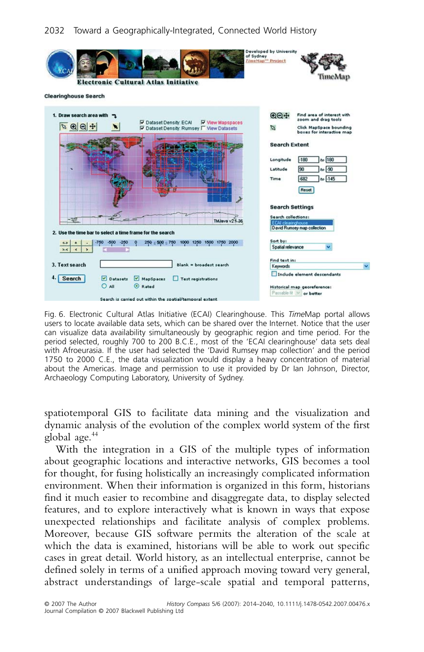

Fig. 6. Electronic Cultural Atlas Initiative (ECAI) Clearinghouse. This *Time*Map portal allows users to locate available data sets, which can be shared over the Internet. Notice that the user can visualize data availability simultaneously by geographic region and time period. For the period selected, roughly 700 to 200 B.C.E., most of the 'ECAI clearinghouse' data sets deal with Afroeurasia. If the user had selected the 'David Rumsey map collection' and the period 1750 to 2000 C.E., the data visualization would display a heavy concentration of material about the Americas. Image and permission to use it provided by Dr Ian Johnson, Director, Archaeology Computing Laboratory, University of Sydney.

spatiotemporal GIS to facilitate data mining and the visualization and dynamic analysis of the evolution of the complex world system of the first global age.44

With the integration in a GIS of the multiple types of information about geographic locations and interactive networks, GIS becomes a tool for thought, for fusing holistically an increasingly complicated information environment. When their information is organized in this form, historians find it much easier to recombine and disaggregate data, to display selected features, and to explore interactively what is known in ways that expose unexpected relationships and facilitate analysis of complex problems. Moreover, because GIS software permits the alteration of the scale at which the data is examined, historians will be able to work out specific cases in great detail. World history, as an intellectual enterprise, cannot be defined solely in terms of a unified approach moving toward very general, abstract understandings of large-scale spatial and temporal patterns,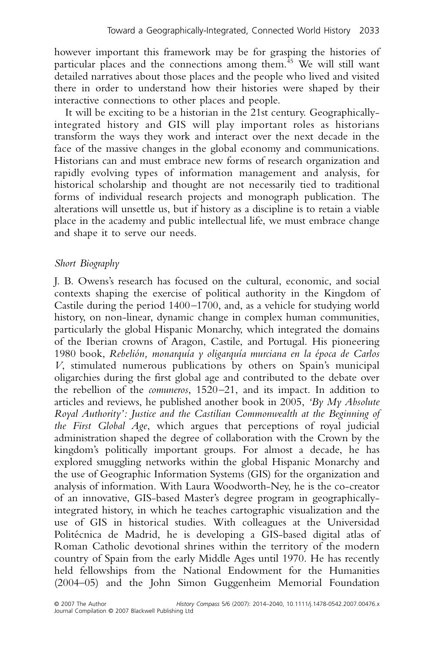however important this framework may be for grasping the histories of particular places and the connections among them.<sup>45</sup> We will still want detailed narratives about those places and the people who lived and visited there in order to understand how their histories were shaped by their interactive connections to other places and people.

It will be exciting to be a historian in the 21st century. Geographicallyintegrated history and GIS will play important roles as historians transform the ways they work and interact over the next decade in the face of the massive changes in the global economy and communications. Historians can and must embrace new forms of research organization and rapidly evolving types of information management and analysis, for historical scholarship and thought are not necessarily tied to traditional forms of individual research projects and monograph publication. The alterations will unsettle us, but if history as a discipline is to retain a viable place in the academy and public intellectual life, we must embrace change and shape it to serve our needs.

## *Short Biography*

J. B. Owens's research has focused on the cultural, economic, and social contexts shaping the exercise of political authority in the Kingdom of Castile during the period 1400–1700, and, as a vehicle for studying world history, on non-linear, dynamic change in complex human communities, particularly the global Hispanic Monarchy, which integrated the domains of the Iberian crowns of Aragon, Castile, and Portugal. His pioneering 1980 book, *Rebelión, monarquía y oligarquía murciana en la época de Carlos V*, stimulated numerous publications by others on Spain's municipal oligarchies during the first global age and contributed to the debate over the rebellion of the *comuneros*, 1520–21, and its impact. In addition to articles and reviews, he published another book in 2005, *'By My Absolute Royal Authority': Justice and the Castilian Commonwealth at the Beginning of the First Global Age*, which argues that perceptions of royal judicial administration shaped the degree of collaboration with the Crown by the kingdom's politically important groups. For almost a decade, he has explored smuggling networks within the global Hispanic Monarchy and the use of Geographic Information Systems (GIS) for the organization and analysis of information. With Laura Woodworth-Ney, he is the co-creator of an innovative, GIS-based Master's degree program in geographicallyintegrated history, in which he teaches cartographic visualization and the use of GIS in historical studies. With colleagues at the Universidad Politécnica de Madrid, he is developing a GIS-based digital atlas of Roman Catholic devotional shrines within the territory of the modern country of Spain from the early Middle Ages until 1970. He has recently held fellowships from the National Endowment for the Humanities (2004–05) and the John Simon Guggenheim Memorial Foundation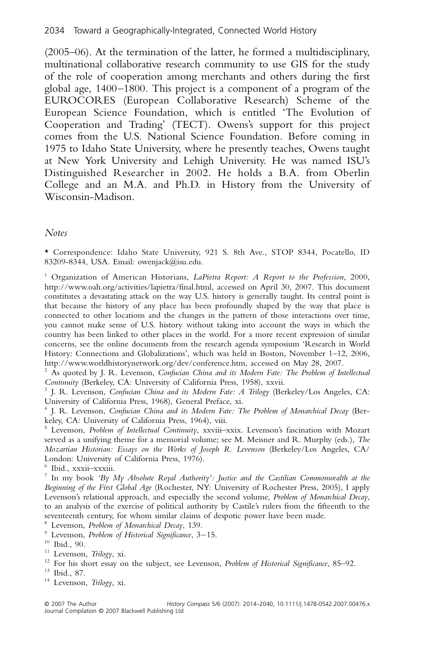(2005–06). At the termination of the latter, he formed a multidisciplinary, multinational collaborative research community to use GIS for the study of the role of cooperation among merchants and others during the first global age, 1400–1800. This project is a component of a program of the EUROCORES (European Collaborative Research) Scheme of the European Science Foundation, which is entitled 'The Evolution of Cooperation and Trading' (TECT). Owens's support for this project comes from the U.S. National Science Foundation. Before coming in 1975 to Idaho State University, where he presently teaches, Owens taught at New York University and Lehigh University. He was named ISU's Distinguished Researcher in 2002. He holds a B.A. from Oberlin College and an M.A. and Ph.D. in History from the University of Wisconsin-Madison.

#### *Notes*

\* Correspondence: Idaho State University, 921 S. 8th Ave., STOP 8344, Pocatello, ID 83209-8344, USA. Email: owenjack@isu.edu.

<sup>1</sup> Organization of American Historians, *LaPietra Report: A Report to the Profession*, 2000, [http://www.oah.org/activities/lapietra/final.html,](http://www.oah.org/activities/lapietra/final.html) accessed on April 30, 2007. This document constitutes a devastating attack on the way U.S. history is generally taught. Its central point is that because the history of any place has been profoundly shaped by the way that place is connected to other locations and the changes in the pattern of those interactions over time, you cannot make sense of U.S. history without taking into account the ways in which the country has been linked to other places in the world. For a more recent expression of similar concerns, see the online documents from the research agenda symposium 'Research in World History: Connections and Globalizations', which was held in Boston, November 1–12, 2006, [http://www.worldhistorynetwork.org/dev/conference.htm,](http://www.worldhistorynetwork.org/dev/conference.htm) accessed on May 28, 2007.

<sup>2</sup> As quoted by J. R. Levenson, *Confucian China and its Modern Fate: The Problem of Intellectual Continuity* (Berkeley, CA: University of California Press, 1958), xxvii.

<sup>3</sup> J. R. Levenson, *Confucian China and its Modern Fate: A Trilogy* (Berkeley/Los Angeles, CA: University of California Press, 1968), General Preface, xi.

<sup>4</sup> J. R. Levenson, *Confucian China and its Modern Fate: The Problem of Monarchical Decay* (Berkeley, CA: University of California Press, 1964), viii.

<sup>5</sup> Levenson, *Problem of Intellectual Continuity*, xxviii–xxix. Levenson's fascination with Mozart served as a unifying theme for a memorial volume; see M. Meisner and R. Murphy (eds.), *The Mozartian Historian: Essays on the Works of Joseph R. Levenson* (Berkeley/Los Angeles, CA/ London: University of California Press, 1976).

<sup>6</sup> Ibid., xxxii–xxxiii.

<sup>7</sup> In my book *'By My Absolute Royal Authority': Justice and the Castilian Commonwealth at the Beginning of the First Global Age* (Rochester, NY: University of Rochester Press, 2005), I apply Levenson's relational approach, and especially the second volume, *Problem of Monarchical Decay*, to an analysis of the exercise of political authority by Castile's rulers from the fifteenth to the seventeenth century, for whom similar claims of despotic power have been made.

<sup>8</sup> Levenson, *Problem of Monarchical Decay*, 139.

- <sup>9</sup> Levenson, *Problem of Historical Significance*, 3–15.
- <sup>10</sup> Ibid., 90.
- <sup>11</sup> Levenson, *Trilogy*, xi.
- <sup>12</sup> For his short essay on the subject, see Levenson, *Problem of Historical Significance*, 85–92.
- <sup>13</sup> Ibid., 87.
- <sup>14</sup> Levenson, *Trilogy*, xi.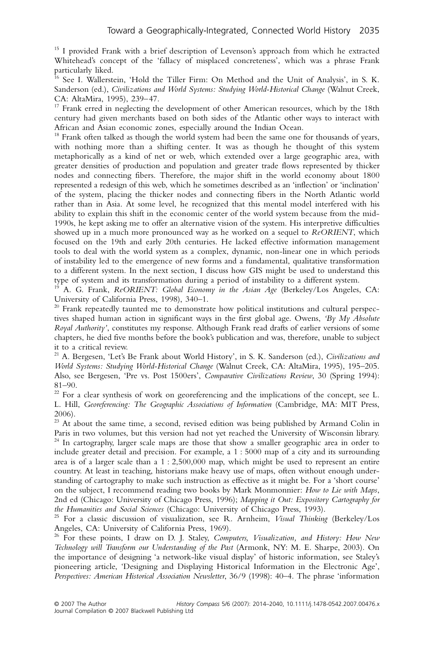<sup>15</sup> I provided Frank with a brief description of Levenson's approach from which he extracted Whitehead's concept of the 'fallacy of misplaced concreteness', which was a phrase Frank particularly liked.

<sup>16</sup> See I. Wallerstein, 'Hold the Tiller Firm: On Method and the Unit of Analysis', in S. K. Sanderson (ed.), *Civilizations and World Systems: Studying World-Historical Change* (Walnut Creek, CA: AltaMira, 1995), 239–47.

<sup>17</sup> Frank erred in neglecting the development of other American resources, which by the 18th century had given merchants based on both sides of the Atlantic other ways to interact with African and Asian economic zones, especially around the Indian Ocean.

 $18$  Frank often talked as though the world system had been the same one for thousands of years, with nothing more than a shifting center. It was as though he thought of this system metaphorically as a kind of net or web, which extended over a large geographic area, with greater densities of production and population and greater trade flows represented by thicker nodes and connecting fibers. Therefore, the major shift in the world economy about 1800 represented a redesign of this web, which he sometimes described as an 'inflection' or 'inclination' of the system, placing the thicker nodes and connecting fibers in the North Atlantic world rather than in Asia. At some level, he recognized that this mental model interfered with his ability to explain this shift in the economic center of the world system because from the mid-1990s, he kept asking me to offer an alternative vision of the system. His interpretive difficulties showed up in a much more pronounced way as he worked on a sequel to *ReORIENT*, which focused on the 19th and early 20th centuries. He lacked effective information management tools to deal with the world system as a complex, dynamic, non-linear one in which periods of instability led to the emergence of new forms and a fundamental, qualitative transformation to a different system. In the next section, I discuss how GIS might be used to understand this type of system and its transformation during a period of instability to a different system.

<sup>19</sup> A. G. Frank, *ReORIENT: Global Economy in the Asian Age* (Berkeley/Los Angeles, CA: University of California Press, 1998), 340–1.

<sup>20</sup> Frank repeatedly taunted me to demonstrate how political institutions and cultural perspectives shaped human action in significant ways in the first global age. Owens, *'By My Absolute Royal Authority'*, constitutes my response. Although Frank read drafts of earlier versions of some chapters, he died five months before the book's publication and was, therefore, unable to subject it to a critical review.

21 A. Bergesen, 'Let's Be Frank about World History', in S. K. Sanderson (ed.), *Civilizations and World Systems: Studying World-Historical Change* (Walnut Creek, CA: AltaMira, 1995), 195–205. Also, see Bergesen, 'Pre vs. Post 1500ers', *Comparative Civilizations Review*, 30 (Spring 1994): 81–90.

<sup>22</sup> For a clear synthesis of work on georeferencing and the implications of the concept, see L. L. Hill, *Georeferencing: The Geographic Associations of Information* (Cambridge, MA: MIT Press, 2006).

<sup>23</sup> At about the same time, a second, revised edition was being published by Armand Colin in Paris in two volumes, but this version had not yet reached the University of Wisconsin library. <sup>24</sup> In cartography, larger scale maps are those that show a smaller geographic area in order to include greater detail and precision. For example, a 1 : 5000 map of a city and its surrounding area is of a larger scale than a 1 : 2,500,000 map, which might be used to represent an entire country. At least in teaching, historians make heavy use of maps, often without enough understanding of cartography to make such instruction as effective as it might be. For a 'short course' on the subject, I recommend reading two books by Mark Monmonnier: *How to Lie with Maps*, 2nd ed (Chicago: University of Chicago Press, 1996); *Mapping it Out: Expository Cartography for the Humanities and Social Sciences* (Chicago: University of Chicago Press, 1993).

25 For a classic discussion of visualization, see R. Arnheim, *Visual Thinking* (Berkeley/Los Angeles, CA: University of California Press, 1969).

26 For these points, I draw on D. J. Staley, *Computers, Visualization, and History: How New Technology will Transform our Understanding of the Past* (Armonk, NY: M. E. Sharpe, 2003). On the importance of designing 'a network-like visual display' of historic information, see Staley's pioneering article, 'Designing and Displaying Historical Information in the Electronic Age', *Perspectives: American Historical Association Newsletter*, 36/9 (1998): 40–4. The phrase 'information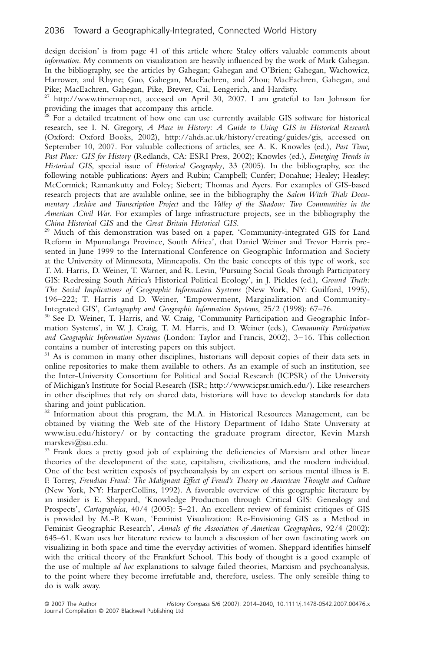design decision' is from page 41 of this article where Staley offers valuable comments about *information*. My comments on visualization are heavily influenced by the work of Mark Gahegan. In the bibliography, see the articles by Gahegan; Gahegan and O'Brien; Gahegan, Wachowicz, Harrower, and Rhyne; Guo, Gahegan, MacEachren, and Zhou; MacEachren, Gahegan, and Pike; MacEachren, Gahegan, Pike, Brewer, Cai, Lengerich, and Hardisty.

<sup>27</sup> [http://www.timemap.net,](http://www.timemap.net) accessed on April 30, 2007. I am grateful to Ian Johnson for providing the images that accompany this article.

 $^{28}$  For a detailed treatment of how one can use currently available GIS software for historical research, see I. N. Gregory, *A Place in History: A Guide to Using GIS in Historical Research* (Oxford: Oxford Books, 2002), [http://ahds.ac.uk/history/creating/guides/gis,](http://ahds.ac.uk/history/creating/guides/gis) accessed on September 10, 2007. For valuable collections of articles, see A. K. Knowles (ed.), *Past Time, Past Place: GIS for History* (Redlands, CA: ESRI Press, 2002); Knowles (ed.), *Emerging Trends in Historical GIS*, special issue of *Historical Geography*, 33 (2005). In the bibliography, see the following notable publications: Ayers and Rubin; Campbell; Cunfer; Donahue; Healey; Heasley; McCormick; Ramankutty and Foley; Siebert; Thomas and Ayers. For examples of GIS-based research projects that are available online, see in the bibliography the *Salem Witch Trials Documentary Archive and Transcription Project* and the *Valley of the Shadow: Two Communities in the American Civil War*. For examples of large infrastructure projects, see in the bibliography the *China Historical GIS* and the *Great Britain Historical GIS*.

<sup>29</sup> Much of this demonstration was based on a paper, 'Community-integrated GIS for Land Reform in Mpumalanga Province, South Africa', that Daniel Weiner and Trevor Harris presented in June 1999 to the International Conference on Geographic Information and Society at the University of Minnesota, Minneapolis. On the basic concepts of this type of work, see T. M. Harris, D. Weiner, T. Warner, and R. Levin, 'Pursuing Social Goals through Participatory GIS: Redressing South Africa's Historical Political Ecology', in J. Pickles (ed.), *Ground Truth: The Social Implications of Geographic Information Systems* (New York, NY: Guilford, 1995), 196–222; T. Harris and D. Weiner, 'Empowerment, Marginalization and Community-Integrated GIS', *Cartography and Geographic Information Systems*, 25/2 (1998): 67–76.

<sup>30</sup> See D. Weiner, T. Harris, and W. Craig, 'Community Participation and Geographic Information Systems', in W. J. Craig, T. M. Harris, and D. Weiner (eds.), *Community Participation and Geographic Information Systems* (London: Taylor and Francis, 2002), 3–16. This collection contains a number of interesting papers on this subject.

 $31$  As is common in many other disciplines, historians will deposit copies of their data sets in online repositories to make them available to others. As an example of such an institution, see the Inter-University Consortium for Political and Social Research (ICPSR) of the University of Michigan's Institute for Social Research (ISR; [http://www.icpsr.umich.edu/\).](http://www.icpsr.umich.edu/) Like researchers in other disciplines that rely on shared data, historians will have to develop standards for data sharing and joint publication.

 $32$  Information about this program, the M.A. in Historical Resources Management, can be obtained by visiting the Web site of the History Department of Idaho State University at [www.isu.edu/history/](http://www.isu.edu/history/) or by contacting the graduate program director, Kevin Marsh marskevi@isu.edu.

<sup>33</sup> Frank does a pretty good job of explaining the deficiencies of Marxism and other linear theories of the development of the state, capitalism, civilizations, and the modern individual. One of the best written exposés of psychoanalysis by an expert on serious mental illness is E. F. Torrey, *Freudian Fraud: The Malignant Effect of Freud's Theory on American Thought and Culture* (New York, NY: HarperCollins, 1992). A favorable overview of this geographic literature by an insider is E. Sheppard, 'Knowledge Production through Critical GIS: Genealogy and Prospects', *Cartographica*, 40/4 (2005): 5–21. An excellent review of feminist critiques of GIS is provided by M.-P. Kwan, 'Feminist Visualization: Re-Envisioning GIS as a Method in Feminist Geographic Research', *Annals of the Association of American Geographers*, 92/4 (2002): 645–61. Kwan uses her literature review to launch a discussion of her own fascinating work on visualizing in both space and time the everyday activities of women. Sheppard identifies himself with the critical theory of the Frankfurt School. This body of thought is a good example of the use of multiple *ad hoc* explanations to salvage failed theories, Marxism and psychoanalysis, to the point where they become irrefutable and, therefore, useless. The only sensible thing to do is walk away.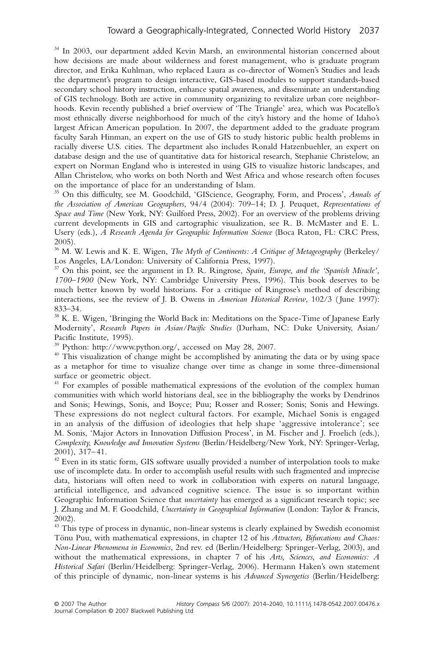34 In 2003, our department added Kevin Marsh, an environmental historian concerned about how decisions are made about wilderness and forest management, who is graduate program director, and Erika Kuhlman, who replaced Laura as co-director of Women's Studies and leads the department's program to design interactive, GIS-based modules to support standards-based secondary school history instruction, enhance spatial awareness, and disseminate an understanding of GIS technology. Both are active in community organizing to revitalize urban core neighborhoods. Kevin recently published a brief overview of 'The Triangle' area, which was Pocatello's most ethnically diverse neighborhood for much of the city's history and the home of Idaho's largest African American population. In 2007, the department added to the graduate program faculty Sarah Hinman, an expert on the use of GIS to study historic public health problems in racially diverse U.S. cities. The department also includes Ronald Hatzenbuehler, an expert on database design and the use of quantitative data for historical research, Stephanie Christelow, an expert on Norman England who is interested in using GIS to visualize historic landscapes, and Allan Christelow, who works on both North and West Africa and whose research often focuses on the importance of place for an understanding of Islam.

35 On this difficulty, see M. Goodchild, 'GIScience, Geography, Form, and Process', *Annals of the Association of American Geographers*, 94/4 (2004): 709–14; D. J. Peuquet, *Representations of Space and Time* (New York, NY: Guilford Press, 2002). For an overview of the problems driving current developments in GIS and cartographic visualization, see R. B. McMaster and E. L. Usery (eds.), *A Research Agenda for Geographic Information Science* (Boca Raton, FL: CRC Press, 2005).

36 M. W. Lewis and K. E. Wigen, *The Myth of Continents: A Critique of Metageography* (Berkeley/ Los Angeles, LA/London: University of California Press, 1997).

37 On this point, see the argument in D. R. Ringrose, *Spain, Europe, and the 'Spanish Miracle', 1700–1900* (New York, NY: Cambridge University Press, 1996). This book deserves to be much better known by world historians. For a critique of Ringrose's method of describing interactions, see the review of J. B. Owens in *American Historical Review*, 102/3 ( June 1997): 833–34.

38 K. E. Wigen, 'Bringing the World Back in: Meditations on the Space-Time of Japanese Early Modernity', *Research Papers in Asian/Pacific Studies* (Durham, NC: Duke University, Asian/ Pacific Institute, 1995).

39 Python: [http://www.python.org/,](http://www.python.org/) accessed on May 28, 2007.

 $40$  This visualization of change might be accomplished by animating the data or by using space as a metaphor for time to visualize change over time as change in some three-dimensional surface or geometric object.

<sup>41</sup> For examples of possible mathematical expressions of the evolution of the complex human communities with which world historians deal, see in the bibliography the works by Dendrinos and Sonis; Hewings, Sonis, and Boyce; Puu; Rosser and Rosser; Sonis; Sonis and Hewings. These expressions do not neglect cultural factors. For example, Michael Sonis is engaged in an analysis of the diffusion of ideologies that help shape 'aggressive intolerance'; see M. Sonis, 'Major Actors in Innovation Diffusion Process', in M. Fischer and J. Froelich (eds.), *Complexity, Knowledge and Innovation Systems* (Berlin/Heidelberg/New York, NY: Springer-Verlag, 2001), 317–41.

 $42$  Even in its static form, GIS software usually provided a number of interpolation tools to make use of incomplete data. In order to accomplish useful results with such fragmented and imprecise data, historians will often need to work in collaboration with experts on natural language, artificial intelligence, and advanced cognitive science. The issue is so important within Geographic Information Science that *uncertainty* has emerged as a significant research topic; see J. Zhang and M. F. Goodchild, *Uncertainty in Geographical Information* (London: Taylor & Francis, 2002).

<sup>43</sup> This type of process in dynamic, non-linear systems is clearly explained by Swedish economist Tönu Puu, with mathematical expressions, in chapter 12 of his *Attractors, Bifurcations and Chaos: Non-Linear Phenomena in Economics*, 2nd rev. ed (Berlin/Heidelberg: Springer-Verlag, 2003), and without the mathematical expressions, in chapter 7 of his *Arts, Sciences, and Economics: A Historical Safari* (Berlin/Heidelberg: Springer-Verlag, 2006). Hermann Haken's own statement of this principle of dynamic, non-linear systems is his *Advanced Synergetics* (Berlin/Heidelberg: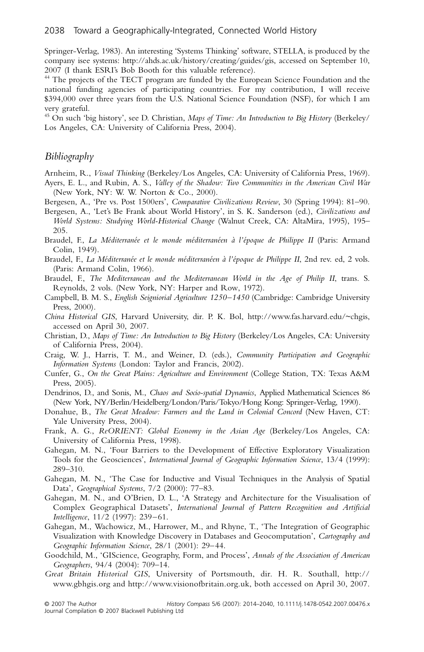Springer-Verlag, 1983). An interesting 'Systems Thinking' software, STELLA, is produced by the company isee systems: [http://ahds.ac.uk/history/creating/guides/gis,](http://ahds.ac.uk/history/creating/guides/gis) accessed on September 10, 2007 (I thank ESRI's Bob Booth for this valuable reference).

44 The projects of the TECT program are funded by the European Science Foundation and the national funding agencies of participating countries. For my contribution, I will receive \$394,000 over three years from the U.S. National Science Foundation (NSF), for which I am very grateful.

45 On such 'big history', see D. Christian, *Maps of Time: An Introduction to Big History* (Berkeley/ Los Angeles, CA: University of California Press, 2004).

## *Bibliography*

- Arnheim, R., *Visual Thinking* (Berkeley/Los Angeles, CA: University of California Press, 1969).
- Ayers, E. L., and Rubin, A. S., *Valley of the Shadow: Two Communities in the American Civil War* (New York, NY: W. W. Norton & Co., 2000).
- Bergesen, A., 'Pre vs. Post 1500ers', *Comparative Civilizations Review*, 30 (Spring 1994): 81–90.
- Bergesen, A., 'Let's Be Frank about World History', in S. K. Sanderson (ed.), *Civilizations and World Systems: Studying World-Historical Change* (Walnut Creek, CA: AltaMira, 1995), 195– 205.
- Braudel, F., *La Méditerranée et le monde méditerranéen à l'époque de Philippe II* (Paris: Armand Colin, 1949).
- Braudel, F., *La Méditerranée et le monde méditerranéen à l'époque de Philippe II*, 2nd rev. ed, 2 vols. (Paris: Armand Colin, 1966).
- Braudel, F., *The Mediterranean and the Mediterranean World in the Age of Philip II*, trans. S. Reynolds, 2 vols. (New York, NY: Harper and Row, 1972).
- Campbell, B. M. S., *English Seigniorial Agriculture 1250–1450* (Cambridge: Cambridge University Press, 2000).
- *China Historical GIS*, Harvard University, dir. P. K. Bol, [http://www.fas.harvard.edu/~chgis,](http://www.fas.harvard.edu/~chgis) accessed on April 30, 2007.
- Christian, D., *Maps of Time: An Introduction to Big History* (Berkeley/Los Angeles, CA: University of California Press, 2004).
- Craig, W. J., Harris, T. M., and Weiner, D. (eds.), *Community Participation and Geographic Information Systems* (London: Taylor and Francis, 2002).
- Cunfer, G., *On the Great Plains: Agriculture and Environment* (College Station, TX: Texas A&M Press, 2005).
- Dendrinos, D., and Sonis, M., *Chaos and Socio-spatial Dynamics*, Applied Mathematical Sciences 86 (New York, NY/Berlin/Heidelberg/London/Paris/Tokyo/Hong Kong: Springer-Verlag, 1990).
- Donahue, B., *The Great Meadow: Farmers and the Land in Colonial Concord* (New Haven, CT: Yale University Press, 2004).
- Frank, A. G., *ReORIENT: Global Economy in the Asian Age* (Berkeley/Los Angeles, CA: University of California Press, 1998).
- Gahegan, M. N., 'Four Barriers to the Development of Effective Exploratory Visualization Tools for the Geosciences', *International Journal of Geographic Information Science*, 13/4 (1999): 289–310.
- Gahegan, M. N., 'The Case for Inductive and Visual Techniques in the Analysis of Spatial Data', *Geographical Systems*, 7/2 (2000): 77–83.
- Gahegan, M. N., and O'Brien, D. L., 'A Strategy and Architecture for the Visualisation of Complex Geographical Datasets', *International Journal of Pattern Recognition and Artificial Intelligence*, 11/2 (1997): 239–61.
- Gahegan, M., Wachowicz, M., Harrower, M., and Rhyne, T., 'The Integration of Geographic Visualization with Knowledge Discovery in Databases and Geocomputation', *Cartography and Geographic Information Science*, 28/1 (2001): 29–44.
- Goodchild, M., 'GIScience, Geography, Form, and Process', *Annals of the Association of American Geographers*, 94/4 (2004): 709–14.
- *Great Britain Historical GIS*, University of Portsmouth, dir. H. R. Southall, [http://](http://www.gbhgis.org) [www.gbhgis.org](http://www.gbhgis.org) and [http://www.visionofbritain.org.uk,](http://www.visionofbritain.org.uk) both accessed on April 30, 2007.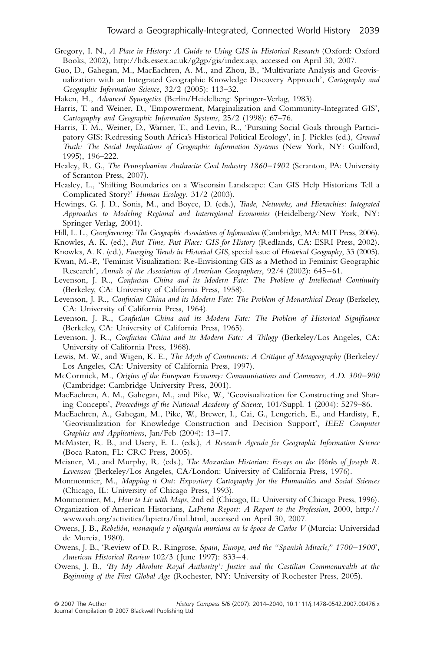- Gregory, I. N., *A Place in History: A Guide to Using GIS in Historical Research* (Oxford: Oxford Books, 2002), [http://hds.essex.ac.uk/g2gp/gis/index.asp,](http://hds.essex.ac.uk/g2gp/gis/index.asp) accessed on April 30, 2007.
- Guo, D., Gahegan, M., MacEachren, A. M., and Zhou, B., 'Multivariate Analysis and Geovisualization with an Integrated Geographic Knowledge Discovery Approach', *Cartography and Geographic Information Science*, 32/2 (2005): 113–32.
- Haken, H., *Advanced Synergetics* (Berlin/Heidelberg: Springer-Verlag, 1983).
- Harris, T. and Weiner, D., 'Empowerment, Marginalization and Community-Integrated GIS', *Cartography and Geographic Information Systems*, 25/2 (1998): 67–76.
- Harris, T. M., Weiner, D., Warner, T., and Levin, R., 'Pursuing Social Goals through Participatory GIS: Redressing South Africa's Historical Political Ecology', in J. Pickles (ed.), *Ground Truth: The Social Implications of Geographic Information Systems* (New York, NY: Guilford, 1995), 196–222.
- Healey, R. G., *The Pennsylvanian Anthracite Coal Industry 1860–1902* (Scranton, PA: University of Scranton Press, 2007).
- Heasley, L., 'Shifting Boundaries on a Wisconsin Landscape: Can GIS Help Historians Tell a Complicated Story?' *Human Ecology*, 31/2 (2003).
- Hewings, G. J. D., Sonis, M., and Boyce, D. (eds.), *Trade, Networks, and Hierarchies: Integrated Approaches to Modeling Regional and Interregional Economies* (Heidelberg/New York, NY: Springer Verlag, 2001).
- Hill, L. L., *Georeferencing: The Geographic Associations of Information* (Cambridge, MA: MIT Press, 2006).
- Knowles, A. K. (ed.), *Past Time, Past Place: GIS for History* (Redlands, CA: ESRI Press, 2002).
- Knowles, A. K. (ed.), *Emerging Trends in Historical GIS*, special issue of *Historical Geography*, 33 (2005).
- Kwan, M.-P., 'Feminist Visualization: Re-Envisioning GIS as a Method in Feminist Geographic Research', *Annals of the Association of American Geographers*, 92/4 (2002): 645–61.
- Levenson, J. R., *Confucian China and its Modern Fate: The Problem of Intellectual Continuity* (Berkeley, CA: University of California Press, 1958).
- Levenson, J. R., *Confucian China and its Modern Fate: The Problem of Monarchical Decay* (Berkeley, CA: University of California Press, 1964).
- Levenson, J. R., *Confucian China and its Modern Fate: The Problem of Historical Significance* (Berkeley, CA: University of California Press, 1965).
- Levenson, J. R., *Confucian China and its Modern Fate: A Trilogy* (Berkeley/Los Angeles, CA: University of California Press, 1968).
- Lewis, M. W., and Wigen, K. E., *The Myth of Continents: A Critique of Metageography* (Berkeley/ Los Angeles, CA: University of California Press, 1997).
- McCormick, M., *Origins of the European Economy: Communications and Commerce, A.D. 300–900* (Cambridge: Cambridge University Press, 2001).
- MacEachren, A. M., Gahegan, M., and Pike, W., 'Geovisualization for Constructing and Sharing Concepts', *Proceedings of the National Academy of Science*, 101/Suppl. 1 (2004): 5279–86.
- MacEachren, A., Gahegan, M., Pike, W., Brewer, I., Cai, G., Lengerich, E., and Hardisty, F., 'Geovisualization for Knowledge Construction and Decision Support', *IEEE Computer Graphics and Applications*, Jan/Feb (2004): 13–17.
- McMaster, R. B., and Usery, E. L. (eds.), *A Research Agenda for Geographic Information Science* (Boca Raton, FL: CRC Press, 2005).
- Meisner, M., and Murphy, R. (eds.), *The Mozartian Historian: Essays on the Works of Joseph R. Levenson* (Berkeley/Los Angeles, CA/London: University of California Press, 1976).
- Monmonnier, M., *Mapping it Out: Expository Cartography for the Humanities and Social Sciences* (Chicago, IL: University of Chicago Press, 1993).
- Monmonnier, M., *How to Lie with Maps*, 2nd ed (Chicago, IL: University of Chicago Press, 1996).
- Organization of American Historians, *LaPietra Report: A Report to the Profession*, 2000, [http://](http://www.oah.org/activities/lapietra/final.html) [www.oah.org/activities/lapietra/final.html,](http://www.oah.org/activities/lapietra/final.html) accessed on April 30, 2007.
- Owens, J. B., *Rebelión, monarquía y oligarquía murciana en la época de Carlos V* (Murcia: Universidad de Murcia, 1980).
- Owens, J. B., 'Review of D. R. Ringrose, *Spain, Europe, and the "Spanish Miracle," 1700–1900*', *American Historical Review* 102/3 ( June 1997): 833–4.
- Owens, J. B., *'By My Absolute Royal Authority': Justice and the Castilian Commonwealth at the Beginning of the First Global Age* (Rochester, NY: University of Rochester Press, 2005).